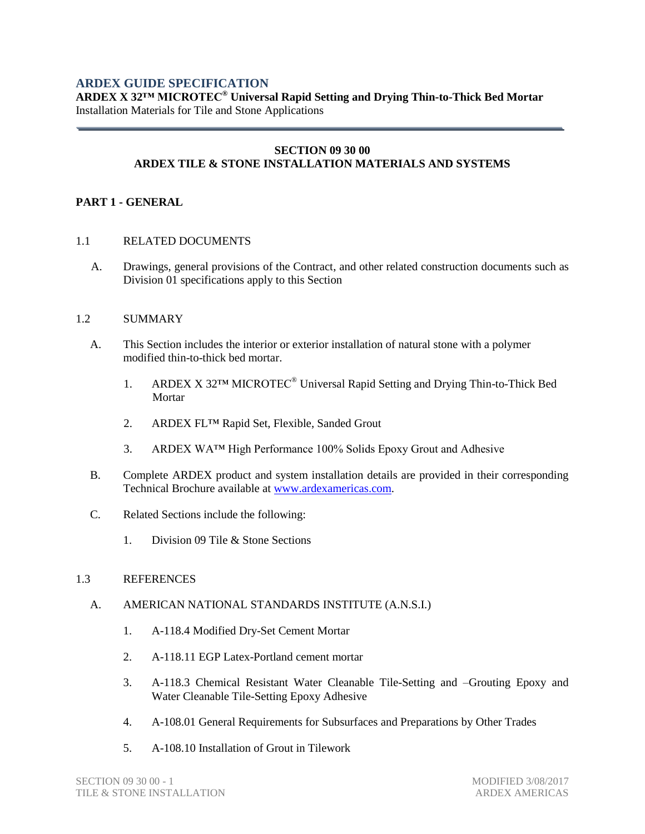## **ARDEX GUIDE SPECIFICATION**

**ARDEX X 32™ MICROTEC® Universal Rapid Setting and Drying Thin-to-Thick Bed Mortar** Installation Materials for Tile and Stone Applications

#### **SECTION 09 30 00 ARDEX TILE & STONE INSTALLATION MATERIALS AND SYSTEMS**

### **PART 1 - GENERAL**

- 1.1 RELATED DOCUMENTS
	- A. Drawings, general provisions of the Contract, and other related construction documents such as Division 01 specifications apply to this Section

#### 1.2 SUMMARY

- A. This Section includes the interior or exterior installation of natural stone with a polymer modified thin-to-thick bed mortar.
	- 1. ARDEX X 32™ MICROTEC® Universal Rapid Setting and Drying Thin-to-Thick Bed Mortar
	- 2. ARDEX FL™ Rapid Set, Flexible, Sanded Grout
	- 3. ARDEX WA™ High Performance 100% Solids Epoxy Grout and Adhesive
- B. Complete ARDEX product and system installation details are provided in their corresponding Technical Brochure available at [www.ardexamericas.com.](http://www.ardexamericas.com/)
- C. Related Sections include the following:
	- 1. Division 09 Tile & Stone Sections

### 1.3 REFERENCES

### A. AMERICAN NATIONAL STANDARDS INSTITUTE (A.N.S.I.)

- 1. A-118.4 Modified Dry-Set Cement Mortar
- 2. A-118.11 EGP Latex-Portland cement mortar
- 3. A-118.3 Chemical Resistant Water Cleanable Tile-Setting and –Grouting Epoxy and Water Cleanable Tile-Setting Epoxy Adhesive
- 4. A-108.01 General Requirements for Subsurfaces and Preparations by Other Trades
- 5. A-108.10 Installation of Grout in Tilework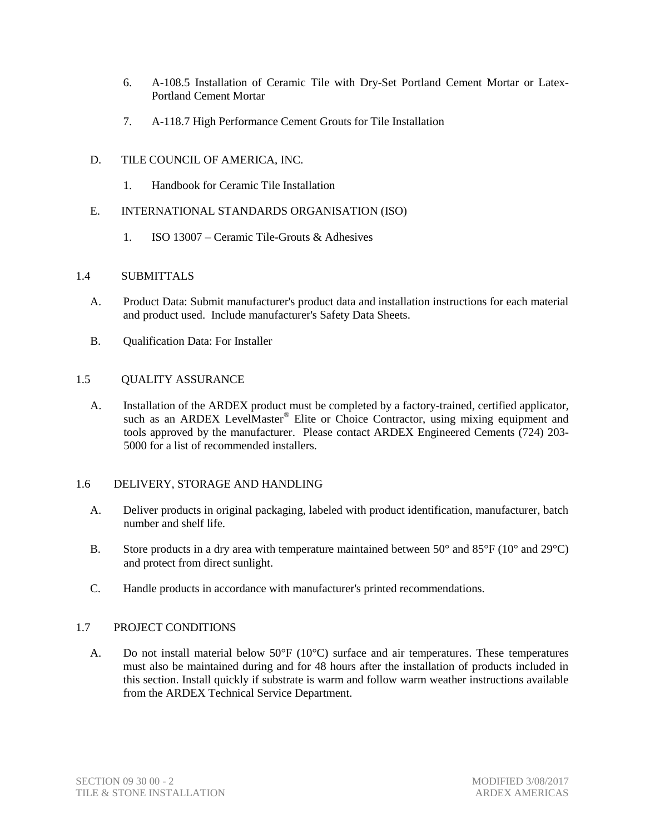- 6. A-108.5 Installation of Ceramic Tile with Dry-Set Portland Cement Mortar or Latex-Portland Cement Mortar
- 7. A-118.7 High Performance Cement Grouts for Tile Installation
- D. TILE COUNCIL OF AMERICA, INC.
	- 1. Handbook for Ceramic Tile Installation
- E. INTERNATIONAL STANDARDS ORGANISATION (ISO)
	- 1. ISO 13007 Ceramic Tile-Grouts & Adhesives

## 1.4 SUBMITTALS

- A. Product Data: Submit manufacturer's product data and installation instructions for each material and product used. Include manufacturer's Safety Data Sheets.
- B. Qualification Data: For Installer

## 1.5 QUALITY ASSURANCE

A. Installation of the ARDEX product must be completed by a factory-trained, certified applicator, such as an ARDEX LevelMaster<sup>®</sup> Elite or Choice Contractor, using mixing equipment and tools approved by the manufacturer. Please contact ARDEX Engineered Cements (724) 203- 5000 for a list of recommended installers.

## 1.6 DELIVERY, STORAGE AND HANDLING

- A. Deliver products in original packaging, labeled with product identification, manufacturer, batch number and shelf life.
- B. Store products in a dry area with temperature maintained between 50° and 85°F (10° and 29°C) and protect from direct sunlight.
- C. Handle products in accordance with manufacturer's printed recommendations.

## 1.7 PROJECT CONDITIONS

A. Do not install material below  $50^{\circ}F (10^{\circ}C)$  surface and air temperatures. These temperatures must also be maintained during and for 48 hours after the installation of products included in this section. Install quickly if substrate is warm and follow warm weather instructions available from the ARDEX Technical Service Department.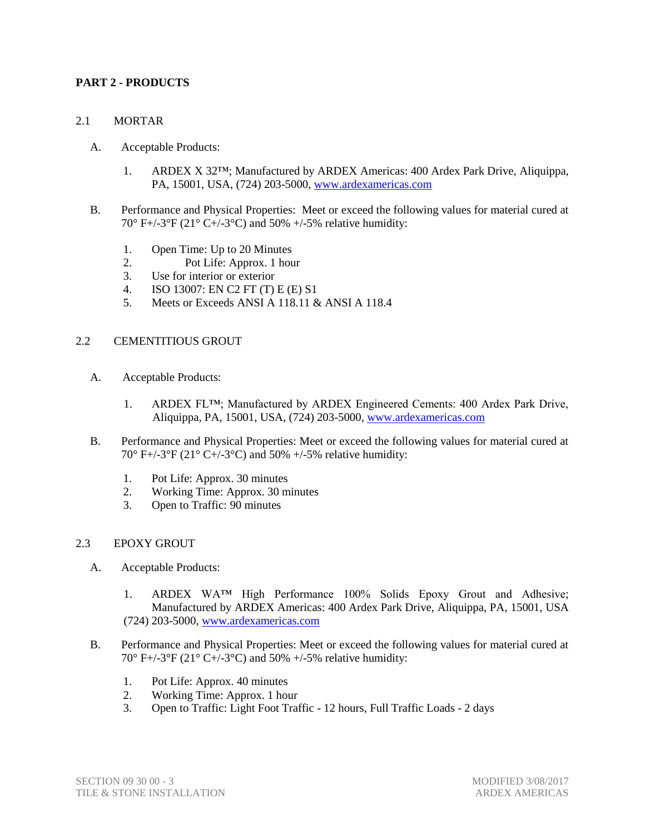### **PART 2 - PRODUCTS**

### 2.1 MORTAR

- A. Acceptable Products:
	- 1. ARDEX X 32™; Manufactured by ARDEX Americas: 400 Ardex Park Drive, Aliquippa, PA, 15001, USA, (724) 203-5000, [www.ardexamericas.com](http://www.ardexamericas.com/)
- B. Performance and Physical Properties: Meet or exceed the following values for material cured at 70° F+/-3°F (21° C+/-3°C) and 50% +/-5% relative humidity:
	- 1. Open Time: Up to 20 Minutes
	- 2. Pot Life: Approx. 1 hour
	- 3. Use for interior or exterior
	- 4. ISO 13007: EN C2 FT (T) E (E) S1
	- 5. Meets or Exceeds ANSI A 118.11 & ANSI A 118.4

### 2.2 CEMENTITIOUS GROUT

- A. Acceptable Products:
	- 1. ARDEX FL™; Manufactured by ARDEX Engineered Cements: 400 Ardex Park Drive, Aliquippa, PA, 15001, USA, (724) 203-5000, [www.ardexamericas.com](http://www.ardexamericas.com/)
- B. Performance and Physical Properties: Meet or exceed the following values for material cured at 70° F+/-3°F (21° C+/-3°C) and 50% +/-5% relative humidity:
	- 1. Pot Life: Approx. 30 minutes
	- 2. Working Time: Approx. 30 minutes
	- 3. Open to Traffic: 90 minutes

### 2.3 EPOXY GROUT

- A. Acceptable Products:
	- 1. ARDEX WA™ High Performance 100% Solids Epoxy Grout and Adhesive; Manufactured by ARDEX Americas: 400 Ardex Park Drive, Aliquippa, PA, 15001, USA (724) 203-5000, [www.ardexamericas.com](http://www.ardexamericas.com/)
- B. Performance and Physical Properties: Meet or exceed the following values for material cured at 70° F+/-3°F (21° C+/-3°C) and 50% +/-5% relative humidity:
	- 1. Pot Life: Approx. 40 minutes
	- 2. Working Time: Approx. 1 hour
	- 3. Open to Traffic: Light Foot Traffic 12 hours, Full Traffic Loads 2 days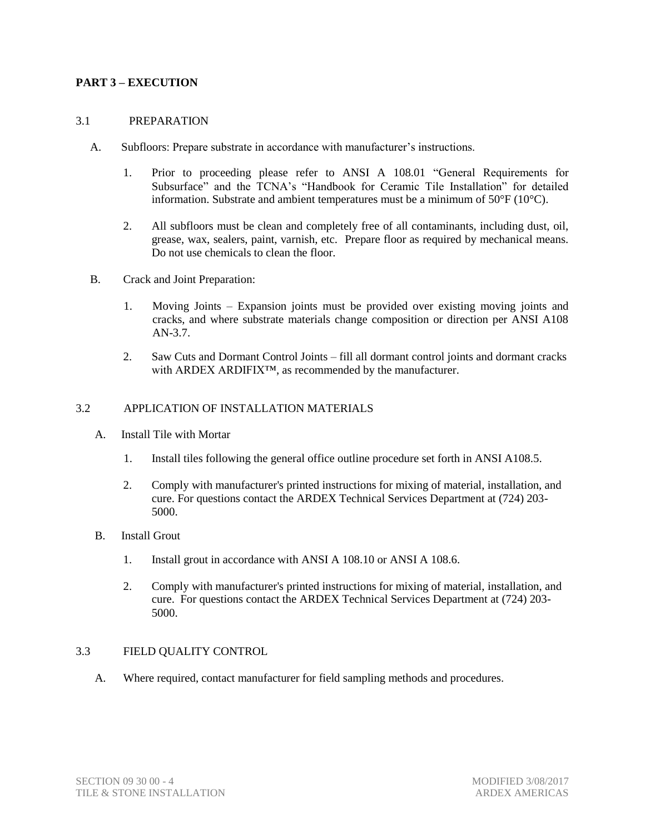### **PART 3 – EXECUTION**

#### 3.1 PREPARATION

- A. Subfloors: Prepare substrate in accordance with manufacturer's instructions.
	- 1. Prior to proceeding please refer to ANSI A 108.01 "General Requirements for Subsurface" and the TCNA's "Handbook for Ceramic Tile Installation" for detailed information. Substrate and ambient temperatures must be a minimum of 50°F (10°C).
	- 2. All subfloors must be clean and completely free of all contaminants, including dust, oil, grease, wax, sealers, paint, varnish, etc. Prepare floor as required by mechanical means. Do not use chemicals to clean the floor.
- B. Crack and Joint Preparation:
	- 1. Moving Joints Expansion joints must be provided over existing moving joints and cracks, and where substrate materials change composition or direction per ANSI A108 AN-3.7.
	- 2. Saw Cuts and Dormant Control Joints fill all dormant control joints and dormant cracks with ARDEX ARDIFIX™, as recommended by the manufacturer.

### 3.2 APPLICATION OF INSTALLATION MATERIALS

- A. Install Tile with Mortar
	- 1. Install tiles following the general office outline procedure set forth in ANSI A108.5.
	- 2. Comply with manufacturer's printed instructions for mixing of material, installation, and cure. For questions contact the ARDEX Technical Services Department at (724) 203- 5000.
- B. Install Grout
	- 1. Install grout in accordance with ANSI A 108.10 or ANSI A 108.6.
	- 2. Comply with manufacturer's printed instructions for mixing of material, installation, and cure. For questions contact the ARDEX Technical Services Department at (724) 203- 5000.

### 3.3 FIELD QUALITY CONTROL

A. Where required, contact manufacturer for field sampling methods and procedures.